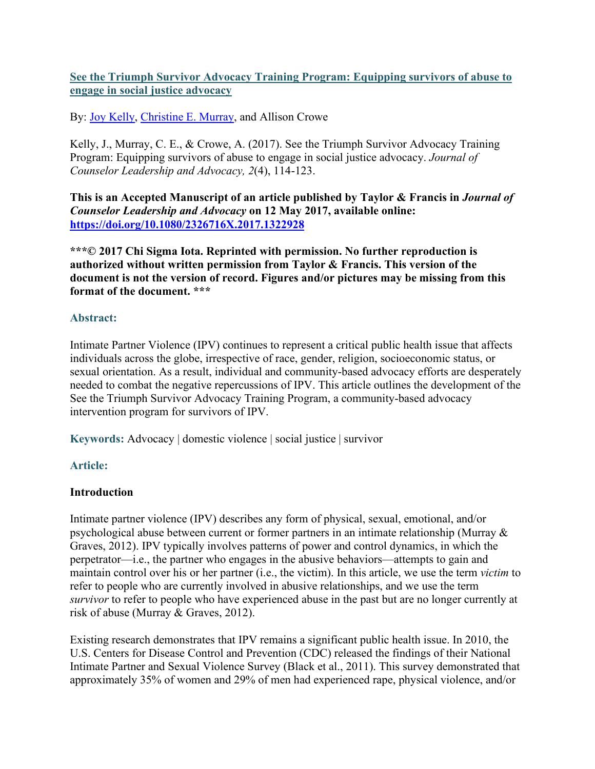# **See the Triumph Survivor Advocacy Training Program: Equipping survivors of abuse to engage in social justice advocacy**

By: [Joy Kelly,](http://libres.uncg.edu/ir/uncg/clist.aspx?id=20445) [Christine E. Murray,](https://libres.uncg.edu/ir/uncg/clist.aspx?id=894) and Allison Crowe

Kelly, J., Murray, C. E., & Crowe, A. (2017). See the Triumph Survivor Advocacy Training Program: Equipping survivors of abuse to engage in social justice advocacy. *Journal of Counselor Leadership and Advocacy, 2*(4), 114-123.

**This is an Accepted Manuscript of an article published by Taylor & Francis in** *Journal of Counselor Leadership and Advocacy* **on 12 May 2017, available online: <https://doi.org/10.1080/2326716X.2017.1322928>**

**\*\*\*© 2017 Chi Sigma Iota. Reprinted with permission. No further reproduction is authorized without written permission from Taylor & Francis. This version of the document is not the version of record. Figures and/or pictures may be missing from this format of the document. \*\*\***

# **Abstract:**

Intimate Partner Violence (IPV) continues to represent a critical public health issue that affects individuals across the globe, irrespective of race, gender, religion, socioeconomic status, or sexual orientation. As a result, individual and community-based advocacy efforts are desperately needed to combat the negative repercussions of IPV. This article outlines the development of the See the Triumph Survivor Advocacy Training Program, a community-based advocacy intervention program for survivors of IPV.

**Keywords:** Advocacy | domestic violence | social justice | survivor

# **Article:**

# **Introduction**

Intimate partner violence (IPV) describes any form of physical, sexual, emotional, and/or psychological abuse between current or former partners in an intimate relationship (Murray & Graves, 2012). IPV typically involves patterns of power and control dynamics, in which the perpetrator—i.e., the partner who engages in the abusive behaviors—attempts to gain and maintain control over his or her partner (i.e., the victim). In this article, we use the term *victim* to refer to people who are currently involved in abusive relationships, and we use the term *survivor* to refer to people who have experienced abuse in the past but are no longer currently at risk of abuse (Murray & Graves, 2012).

Existing research demonstrates that IPV remains a significant public health issue. In 2010, the U.S. Centers for Disease Control and Prevention (CDC) released the findings of their National Intimate Partner and Sexual Violence Survey (Black et al., 2011). This survey demonstrated that approximately 35% of women and 29% of men had experienced rape, physical violence, and/or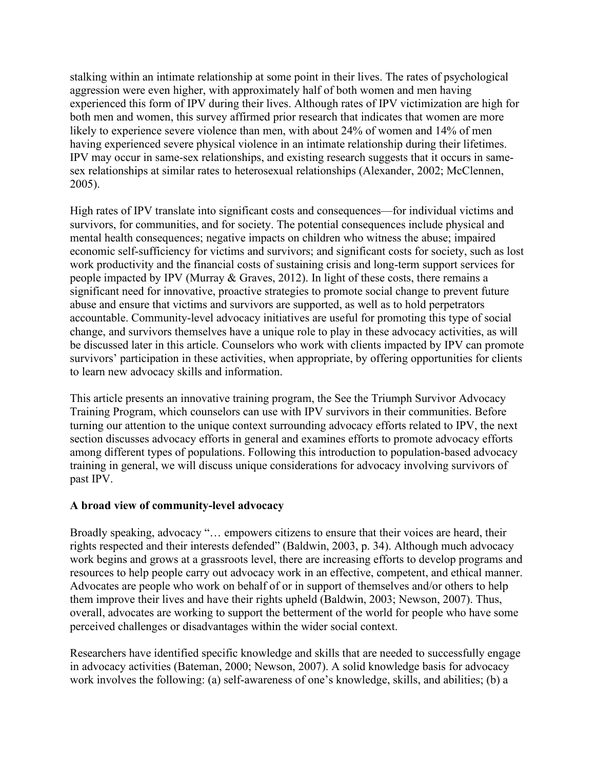stalking within an intimate relationship at some point in their lives. The rates of psychological aggression were even higher, with approximately half of both women and men having experienced this form of IPV during their lives. Although rates of IPV victimization are high for both men and women, this survey affirmed prior research that indicates that women are more likely to experience severe violence than men, with about 24% of women and 14% of men having experienced severe physical violence in an intimate relationship during their lifetimes. IPV may occur in same-sex relationships, and existing research suggests that it occurs in samesex relationships at similar rates to heterosexual relationships (Alexander, 2002; McClennen, 2005).

High rates of IPV translate into significant costs and consequences—for individual victims and survivors, for communities, and for society. The potential consequences include physical and mental health consequences; negative impacts on children who witness the abuse; impaired economic self-sufficiency for victims and survivors; and significant costs for society, such as lost work productivity and the financial costs of sustaining crisis and long-term support services for people impacted by IPV (Murray & Graves, 2012). In light of these costs, there remains a significant need for innovative, proactive strategies to promote social change to prevent future abuse and ensure that victims and survivors are supported, as well as to hold perpetrators accountable. Community-level advocacy initiatives are useful for promoting this type of social change, and survivors themselves have a unique role to play in these advocacy activities, as will be discussed later in this article. Counselors who work with clients impacted by IPV can promote survivors' participation in these activities, when appropriate, by offering opportunities for clients to learn new advocacy skills and information.

This article presents an innovative training program, the See the Triumph Survivor Advocacy Training Program, which counselors can use with IPV survivors in their communities. Before turning our attention to the unique context surrounding advocacy efforts related to IPV, the next section discusses advocacy efforts in general and examines efforts to promote advocacy efforts among different types of populations. Following this introduction to population-based advocacy training in general, we will discuss unique considerations for advocacy involving survivors of past IPV.

# **A broad view of community-level advocacy**

Broadly speaking, advocacy "… empowers citizens to ensure that their voices are heard, their rights respected and their interests defended" (Baldwin, 2003, p. 34). Although much advocacy work begins and grows at a grassroots level, there are increasing efforts to develop programs and resources to help people carry out advocacy work in an effective, competent, and ethical manner. Advocates are people who work on behalf of or in support of themselves and/or others to help them improve their lives and have their rights upheld (Baldwin, 2003; Newson, 2007). Thus, overall, advocates are working to support the betterment of the world for people who have some perceived challenges or disadvantages within the wider social context.

Researchers have identified specific knowledge and skills that are needed to successfully engage in advocacy activities (Bateman, 2000; Newson, 2007). A solid knowledge basis for advocacy work involves the following: (a) self-awareness of one's knowledge, skills, and abilities; (b) a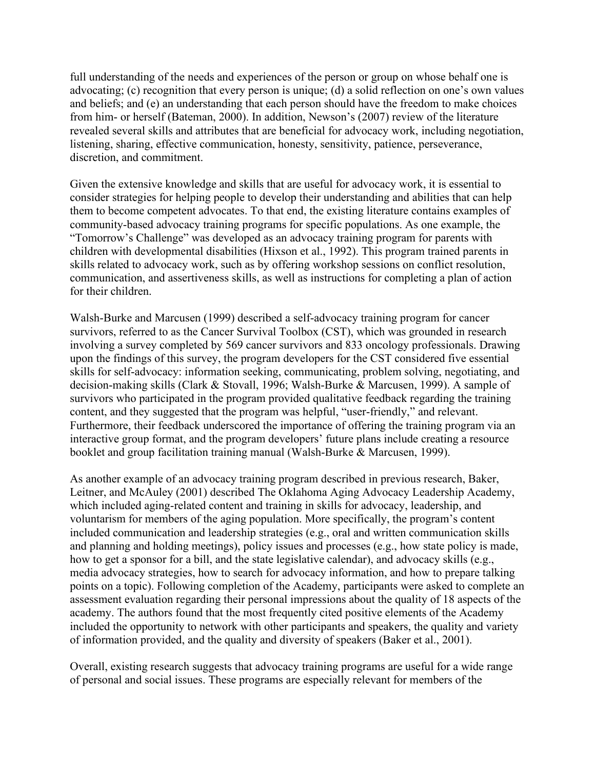full understanding of the needs and experiences of the person or group on whose behalf one is advocating; (c) recognition that every person is unique; (d) a solid reflection on one's own values and beliefs; and (e) an understanding that each person should have the freedom to make choices from him- or herself (Bateman, 2000). In addition, Newson's (2007) review of the literature revealed several skills and attributes that are beneficial for advocacy work, including negotiation, listening, sharing, effective communication, honesty, sensitivity, patience, perseverance, discretion, and commitment.

Given the extensive knowledge and skills that are useful for advocacy work, it is essential to consider strategies for helping people to develop their understanding and abilities that can help them to become competent advocates. To that end, the existing literature contains examples of community-based advocacy training programs for specific populations. As one example, the "Tomorrow's Challenge" was developed as an advocacy training program for parents with children with developmental disabilities (Hixson et al., 1992). This program trained parents in skills related to advocacy work, such as by offering workshop sessions on conflict resolution, communication, and assertiveness skills, as well as instructions for completing a plan of action for their children.

Walsh-Burke and Marcusen (1999) described a self-advocacy training program for cancer survivors, referred to as the Cancer Survival Toolbox (CST), which was grounded in research involving a survey completed by 569 cancer survivors and 833 oncology professionals. Drawing upon the findings of this survey, the program developers for the CST considered five essential skills for self-advocacy: information seeking, communicating, problem solving, negotiating, and decision-making skills (Clark & Stovall, 1996; Walsh-Burke & Marcusen, 1999). A sample of survivors who participated in the program provided qualitative feedback regarding the training content, and they suggested that the program was helpful, "user-friendly," and relevant. Furthermore, their feedback underscored the importance of offering the training program via an interactive group format, and the program developers' future plans include creating a resource booklet and group facilitation training manual (Walsh-Burke & Marcusen, 1999).

As another example of an advocacy training program described in previous research, Baker, Leitner, and McAuley (2001) described The Oklahoma Aging Advocacy Leadership Academy, which included aging-related content and training in skills for advocacy, leadership, and voluntarism for members of the aging population. More specifically, the program's content included communication and leadership strategies (e.g., oral and written communication skills and planning and holding meetings), policy issues and processes (e.g., how state policy is made, how to get a sponsor for a bill, and the state legislative calendar), and advocacy skills (e.g., media advocacy strategies, how to search for advocacy information, and how to prepare talking points on a topic). Following completion of the Academy, participants were asked to complete an assessment evaluation regarding their personal impressions about the quality of 18 aspects of the academy. The authors found that the most frequently cited positive elements of the Academy included the opportunity to network with other participants and speakers, the quality and variety of information provided, and the quality and diversity of speakers (Baker et al., 2001).

Overall, existing research suggests that advocacy training programs are useful for a wide range of personal and social issues. These programs are especially relevant for members of the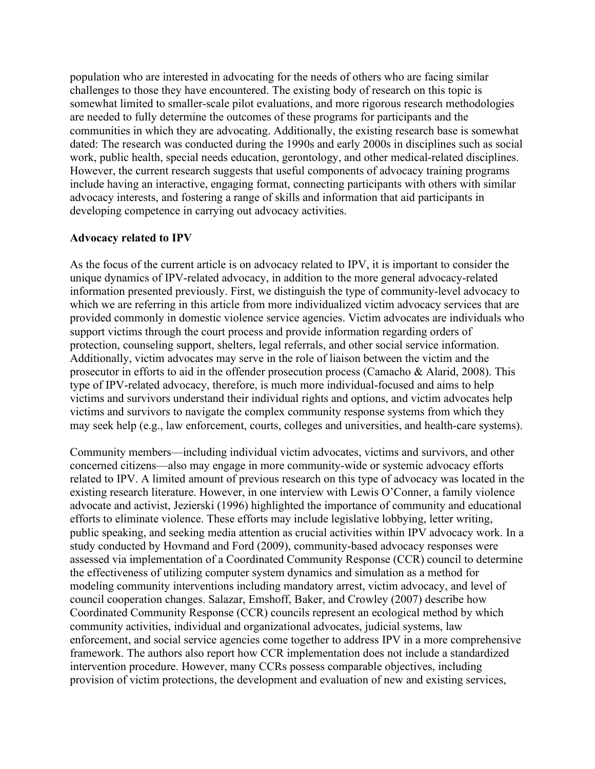population who are interested in advocating for the needs of others who are facing similar challenges to those they have encountered. The existing body of research on this topic is somewhat limited to smaller-scale pilot evaluations, and more rigorous research methodologies are needed to fully determine the outcomes of these programs for participants and the communities in which they are advocating. Additionally, the existing research base is somewhat dated: The research was conducted during the 1990s and early 2000s in disciplines such as social work, public health, special needs education, gerontology, and other medical-related disciplines. However, the current research suggests that useful components of advocacy training programs include having an interactive, engaging format, connecting participants with others with similar advocacy interests, and fostering a range of skills and information that aid participants in developing competence in carrying out advocacy activities.

### **Advocacy related to IPV**

As the focus of the current article is on advocacy related to IPV, it is important to consider the unique dynamics of IPV-related advocacy, in addition to the more general advocacy-related information presented previously. First, we distinguish the type of community-level advocacy to which we are referring in this article from more individualized victim advocacy services that are provided commonly in domestic violence service agencies. Victim advocates are individuals who support victims through the court process and provide information regarding orders of protection, counseling support, shelters, legal referrals, and other social service information. Additionally, victim advocates may serve in the role of liaison between the victim and the prosecutor in efforts to aid in the offender prosecution process (Camacho & Alarid, 2008). This type of IPV-related advocacy, therefore, is much more individual-focused and aims to help victims and survivors understand their individual rights and options, and victim advocates help victims and survivors to navigate the complex community response systems from which they may seek help (e.g., law enforcement, courts, colleges and universities, and health-care systems).

Community members—including individual victim advocates, victims and survivors, and other concerned citizens—also may engage in more community-wide or systemic advocacy efforts related to IPV. A limited amount of previous research on this type of advocacy was located in the existing research literature. However, in one interview with Lewis O'Conner, a family violence advocate and activist, Jezierski (1996) highlighted the importance of community and educational efforts to eliminate violence. These efforts may include legislative lobbying, letter writing, public speaking, and seeking media attention as crucial activities within IPV advocacy work. In a study conducted by Hovmand and Ford (2009), community-based advocacy responses were assessed via implementation of a Coordinated Community Response (CCR) council to determine the effectiveness of utilizing computer system dynamics and simulation as a method for modeling community interventions including mandatory arrest, victim advocacy, and level of council cooperation changes. Salazar, Emshoff, Baker, and Crowley (2007) describe how Coordinated Community Response (CCR) councils represent an ecological method by which community activities, individual and organizational advocates, judicial systems, law enforcement, and social service agencies come together to address IPV in a more comprehensive framework. The authors also report how CCR implementation does not include a standardized intervention procedure. However, many CCRs possess comparable objectives, including provision of victim protections, the development and evaluation of new and existing services,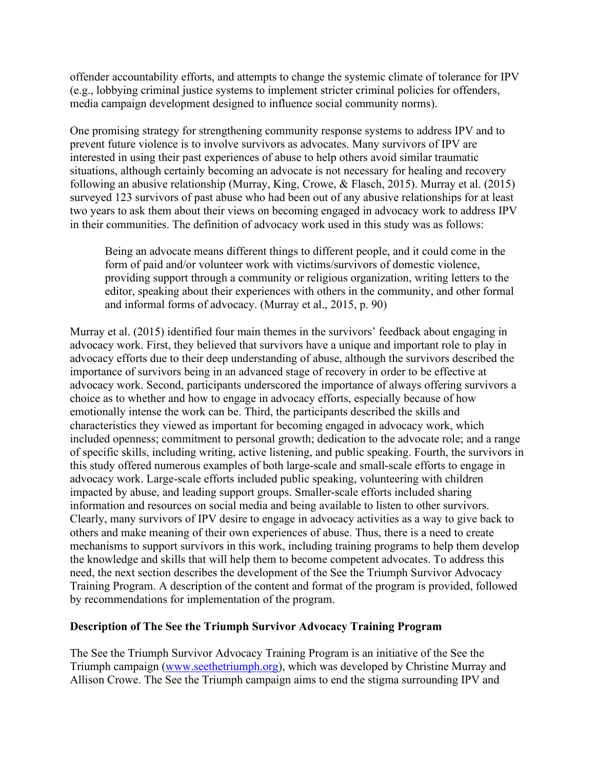offender accountability efforts, and attempts to change the systemic climate of tolerance for IPV (e.g., lobbying criminal justice systems to implement stricter criminal policies for offenders, media campaign development designed to influence social community norms).

One promising strategy for strengthening community response systems to address IPV and to prevent future violence is to involve survivors as advocates. Many survivors of IPV are interested in using their past experiences of abuse to help others avoid similar traumatic situations, although certainly becoming an advocate is not necessary for healing and recovery following an abusive relationship (Murray, King, Crowe, & Flasch, 2015). Murray et al. (2015) surveyed 123 survivors of past abuse who had been out of any abusive relationships for at least two years to ask them about their views on becoming engaged in advocacy work to address IPV in their communities. The definition of advocacy work used in this study was as follows:

Being an advocate means different things to different people, and it could come in the form of paid and/or volunteer work with victims/survivors of domestic violence, providing support through a community or religious organization, writing letters to the editor, speaking about their experiences with others in the community, and other formal and informal forms of advocacy. (Murray et al., 2015, p. 90)

Murray et al. (2015) identified four main themes in the survivors' feedback about engaging in advocacy work. First, they believed that survivors have a unique and important role to play in advocacy efforts due to their deep understanding of abuse, although the survivors described the importance of survivors being in an advanced stage of recovery in order to be effective at advocacy work. Second, participants underscored the importance of always offering survivors a choice as to whether and how to engage in advocacy efforts, especially because of how emotionally intense the work can be. Third, the participants described the skills and characteristics they viewed as important for becoming engaged in advocacy work, which included openness; commitment to personal growth; dedication to the advocate role; and a range of specific skills, including writing, active listening, and public speaking. Fourth, the survivors in this study offered numerous examples of both large-scale and small-scale efforts to engage in advocacy work. Large-scale efforts included public speaking, volunteering with children impacted by abuse, and leading support groups. Smaller-scale efforts included sharing information and resources on social media and being available to listen to other survivors. Clearly, many survivors of IPV desire to engage in advocacy activities as a way to give back to others and make meaning of their own experiences of abuse. Thus, there is a need to create mechanisms to support survivors in this work, including training programs to help them develop the knowledge and skills that will help them to become competent advocates. To address this need, the next section describes the development of the See the Triumph Survivor Advocacy Training Program. A description of the content and format of the program is provided, followed by recommendations for implementation of the program.

#### **Description of The See the Triumph Survivor Advocacy Training Program**

The See the Triumph Survivor Advocacy Training Program is an initiative of the See the Triumph campaign [\(www.seethetriumph.org\)](http://www.seethetriumph.org/), which was developed by Christine Murray and Allison Crowe. The See the Triumph campaign aims to end the stigma surrounding IPV and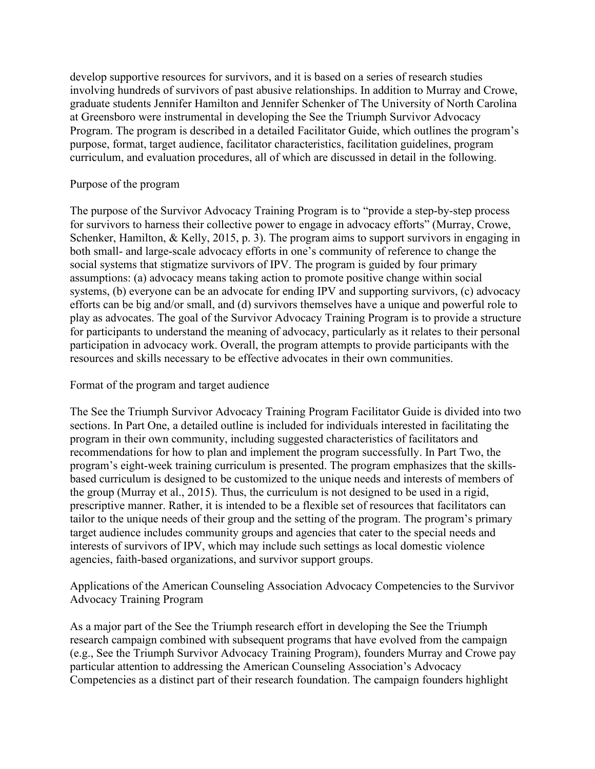develop supportive resources for survivors, and it is based on a series of research studies involving hundreds of survivors of past abusive relationships. In addition to Murray and Crowe, graduate students Jennifer Hamilton and Jennifer Schenker of The University of North Carolina at Greensboro were instrumental in developing the See the Triumph Survivor Advocacy Program. The program is described in a detailed Facilitator Guide, which outlines the program's purpose, format, target audience, facilitator characteristics, facilitation guidelines, program curriculum, and evaluation procedures, all of which are discussed in detail in the following.

#### Purpose of the program

The purpose of the Survivor Advocacy Training Program is to "provide a step-by-step process for survivors to harness their collective power to engage in advocacy efforts" (Murray, Crowe, Schenker, Hamilton, & Kelly, 2015, p. 3). The program aims to support survivors in engaging in both small- and large-scale advocacy efforts in one's community of reference to change the social systems that stigmatize survivors of IPV. The program is guided by four primary assumptions: (a) advocacy means taking action to promote positive change within social systems, (b) everyone can be an advocate for ending IPV and supporting survivors, (c) advocacy efforts can be big and/or small, and (d) survivors themselves have a unique and powerful role to play as advocates. The goal of the Survivor Advocacy Training Program is to provide a structure for participants to understand the meaning of advocacy, particularly as it relates to their personal participation in advocacy work. Overall, the program attempts to provide participants with the resources and skills necessary to be effective advocates in their own communities.

#### Format of the program and target audience

The See the Triumph Survivor Advocacy Training Program Facilitator Guide is divided into two sections. In Part One, a detailed outline is included for individuals interested in facilitating the program in their own community, including suggested characteristics of facilitators and recommendations for how to plan and implement the program successfully. In Part Two, the program's eight-week training curriculum is presented. The program emphasizes that the skillsbased curriculum is designed to be customized to the unique needs and interests of members of the group (Murray et al., 2015). Thus, the curriculum is not designed to be used in a rigid, prescriptive manner. Rather, it is intended to be a flexible set of resources that facilitators can tailor to the unique needs of their group and the setting of the program. The program's primary target audience includes community groups and agencies that cater to the special needs and interests of survivors of IPV, which may include such settings as local domestic violence agencies, faith-based organizations, and survivor support groups.

Applications of the American Counseling Association Advocacy Competencies to the Survivor Advocacy Training Program

As a major part of the See the Triumph research effort in developing the See the Triumph research campaign combined with subsequent programs that have evolved from the campaign (e.g., See the Triumph Survivor Advocacy Training Program), founders Murray and Crowe pay particular attention to addressing the American Counseling Association's Advocacy Competencies as a distinct part of their research foundation. The campaign founders highlight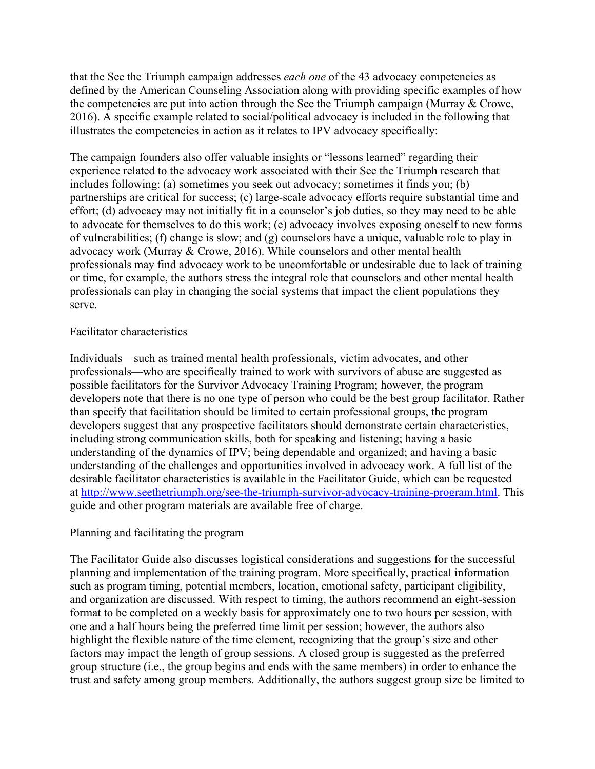that the See the Triumph campaign addresses *each one* of the 43 advocacy competencies as defined by the American Counseling Association along with providing specific examples of how the competencies are put into action through the See the Triumph campaign (Murray & Crowe, 2016). A specific example related to social/political advocacy is included in the following that illustrates the competencies in action as it relates to IPV advocacy specifically:

The campaign founders also offer valuable insights or "lessons learned" regarding their experience related to the advocacy work associated with their See the Triumph research that includes following: (a) sometimes you seek out advocacy; sometimes it finds you; (b) partnerships are critical for success; (c) large-scale advocacy efforts require substantial time and effort; (d) advocacy may not initially fit in a counselor's job duties, so they may need to be able to advocate for themselves to do this work; (e) advocacy involves exposing oneself to new forms of vulnerabilities; (f) change is slow; and (g) counselors have a unique, valuable role to play in advocacy work (Murray & Crowe, 2016). While counselors and other mental health professionals may find advocacy work to be uncomfortable or undesirable due to lack of training or time, for example, the authors stress the integral role that counselors and other mental health professionals can play in changing the social systems that impact the client populations they serve.

#### Facilitator characteristics

Individuals—such as trained mental health professionals, victim advocates, and other professionals—who are specifically trained to work with survivors of abuse are suggested as possible facilitators for the Survivor Advocacy Training Program; however, the program developers note that there is no one type of person who could be the best group facilitator. Rather than specify that facilitation should be limited to certain professional groups, the program developers suggest that any prospective facilitators should demonstrate certain characteristics, including strong communication skills, both for speaking and listening; having a basic understanding of the dynamics of IPV; being dependable and organized; and having a basic understanding of the challenges and opportunities involved in advocacy work. A full list of the desirable facilitator characteristics is available in the Facilitator Guide, which can be requested at [http://www.seethetriumph.org/see-the-triumph-survivor-advocacy-training-program.html.](http://www.seethetriumph.org/see-the-triumph-survivor-advocacy-training-program.html) This guide and other program materials are available free of charge.

#### Planning and facilitating the program

The Facilitator Guide also discusses logistical considerations and suggestions for the successful planning and implementation of the training program. More specifically, practical information such as program timing, potential members, location, emotional safety, participant eligibility, and organization are discussed. With respect to timing, the authors recommend an eight-session format to be completed on a weekly basis for approximately one to two hours per session, with one and a half hours being the preferred time limit per session; however, the authors also highlight the flexible nature of the time element, recognizing that the group's size and other factors may impact the length of group sessions. A closed group is suggested as the preferred group structure (i.e., the group begins and ends with the same members) in order to enhance the trust and safety among group members. Additionally, the authors suggest group size be limited to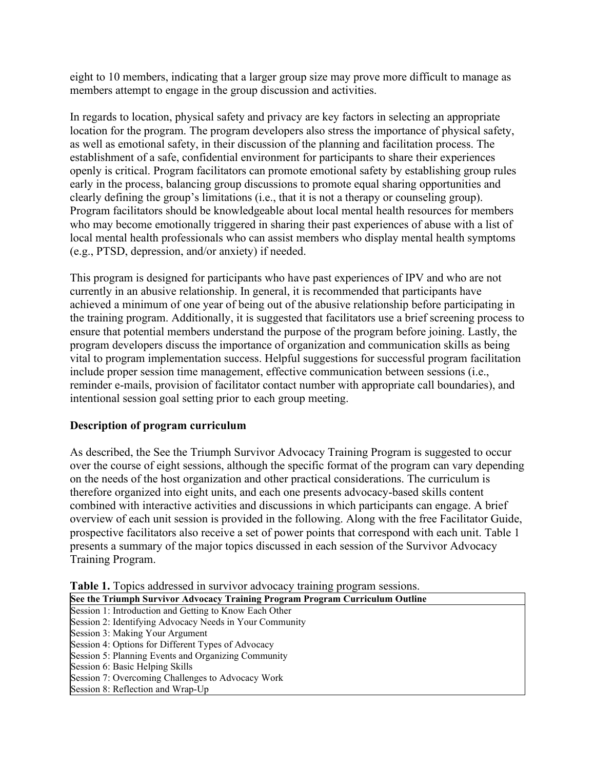eight to 10 members, indicating that a larger group size may prove more difficult to manage as members attempt to engage in the group discussion and activities.

In regards to location, physical safety and privacy are key factors in selecting an appropriate location for the program. The program developers also stress the importance of physical safety, as well as emotional safety, in their discussion of the planning and facilitation process. The establishment of a safe, confidential environment for participants to share their experiences openly is critical. Program facilitators can promote emotional safety by establishing group rules early in the process, balancing group discussions to promote equal sharing opportunities and clearly defining the group's limitations (i.e., that it is not a therapy or counseling group). Program facilitators should be knowledgeable about local mental health resources for members who may become emotionally triggered in sharing their past experiences of abuse with a list of local mental health professionals who can assist members who display mental health symptoms (e.g., PTSD, depression, and/or anxiety) if needed.

This program is designed for participants who have past experiences of IPV and who are not currently in an abusive relationship. In general, it is recommended that participants have achieved a minimum of one year of being out of the abusive relationship before participating in the training program. Additionally, it is suggested that facilitators use a brief screening process to ensure that potential members understand the purpose of the program before joining. Lastly, the program developers discuss the importance of organization and communication skills as being vital to program implementation success. Helpful suggestions for successful program facilitation include proper session time management, effective communication between sessions (i.e., reminder e-mails, provision of facilitator contact number with appropriate call boundaries), and intentional session goal setting prior to each group meeting.

#### **Description of program curriculum**

As described, the See the Triumph Survivor Advocacy Training Program is suggested to occur over the course of eight sessions, although the specific format of the program can vary depending on the needs of the host organization and other practical considerations. The curriculum is therefore organized into eight units, and each one presents advocacy-based skills content combined with interactive activities and discussions in which participants can engage. A brief overview of each unit session is provided in the following. Along with the free Facilitator Guide, prospective facilitators also receive a set of power points that correspond with each unit. Table 1 presents a summary of the major topics discussed in each session of the Survivor Advocacy Training Program.

**Table 1.** Topics addressed in survivor advocacy training program sessions.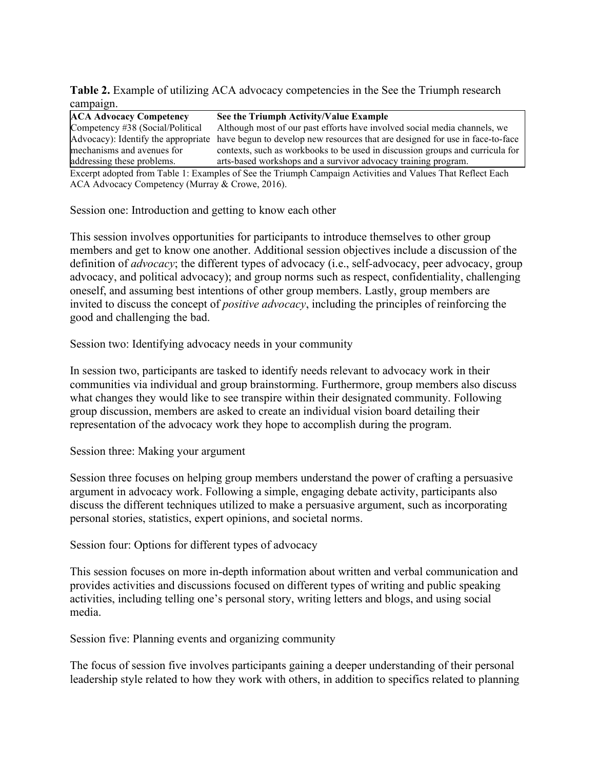**Table 2.** Example of utilizing ACA advocacy competencies in the See the Triumph research campaign.

**ACA Advocacy Competency See the Triumph Activity/Value Example** Competency #38 (Social/Political Advocacy): Identify the appropriate have begun to develop new resources that are designed for use in face-to-face mechanisms and avenues for addressing these problems. Although most of our past efforts have involved social media channels, we contexts, such as workbooks to be used in discussion groups and curricula for arts-based workshops and a survivor advocacy training program. Excerpt adopted from Table 1: Examples of See the Triumph Campaign Activities and Values That Reflect Each ACA Advocacy Competency (Murray & Crowe, 2016).

Session one: Introduction and getting to know each other

This session involves opportunities for participants to introduce themselves to other group members and get to know one another. Additional session objectives include a discussion of the definition of *advocacy*; the different types of advocacy (i.e., self-advocacy, peer advocacy, group advocacy, and political advocacy); and group norms such as respect, confidentiality, challenging oneself, and assuming best intentions of other group members. Lastly, group members are invited to discuss the concept of *positive advocacy*, including the principles of reinforcing the good and challenging the bad.

Session two: Identifying advocacy needs in your community

In session two, participants are tasked to identify needs relevant to advocacy work in their communities via individual and group brainstorming. Furthermore, group members also discuss what changes they would like to see transpire within their designated community. Following group discussion, members are asked to create an individual vision board detailing their representation of the advocacy work they hope to accomplish during the program.

Session three: Making your argument

Session three focuses on helping group members understand the power of crafting a persuasive argument in advocacy work. Following a simple, engaging debate activity, participants also discuss the different techniques utilized to make a persuasive argument, such as incorporating personal stories, statistics, expert opinions, and societal norms.

Session four: Options for different types of advocacy

This session focuses on more in-depth information about written and verbal communication and provides activities and discussions focused on different types of writing and public speaking activities, including telling one's personal story, writing letters and blogs, and using social media.

Session five: Planning events and organizing community

The focus of session five involves participants gaining a deeper understanding of their personal leadership style related to how they work with others, in addition to specifics related to planning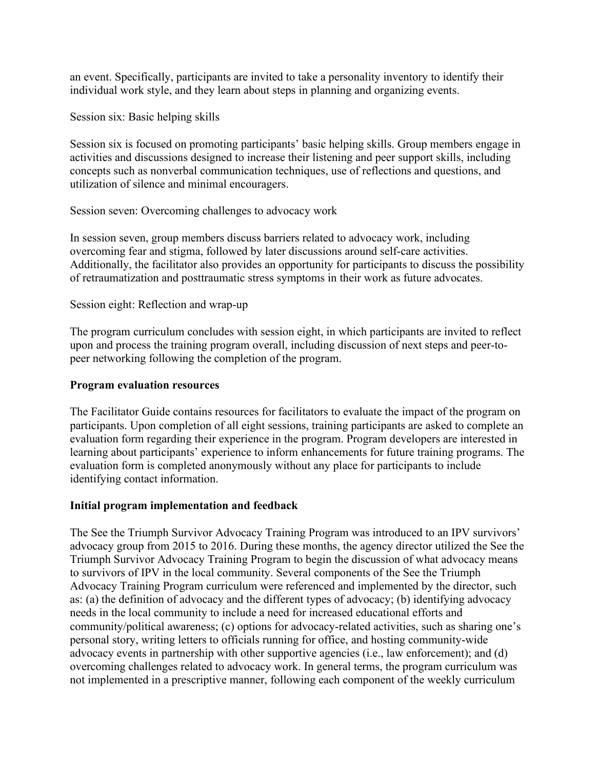an event. Specifically, participants are invited to take a personality inventory to identify their individual work style, and they learn about steps in planning and organizing events.

Session six: Basic helping skills

Session six is focused on promoting participants' basic helping skills. Group members engage in activities and discussions designed to increase their listening and peer support skills, including concepts such as nonverbal communication techniques, use of reflections and questions, and utilization of silence and minimal encouragers.

Session seven: Overcoming challenges to advocacy work

In session seven, group members discuss barriers related to advocacy work, including overcoming fear and stigma, followed by later discussions around self-care activities. Additionally, the facilitator also provides an opportunity for participants to discuss the possibility of retraumatization and posttraumatic stress symptoms in their work as future advocates.

### Session eight: Reflection and wrap-up

The program curriculum concludes with session eight, in which participants are invited to reflect upon and process the training program overall, including discussion of next steps and peer-topeer networking following the completion of the program.

#### **Program evaluation resources**

The Facilitator Guide contains resources for facilitators to evaluate the impact of the program on participants. Upon completion of all eight sessions, training participants are asked to complete an evaluation form regarding their experience in the program. Program developers are interested in learning about participants' experience to inform enhancements for future training programs. The evaluation form is completed anonymously without any place for participants to include identifying contact information.

#### **Initial program implementation and feedback**

The See the Triumph Survivor Advocacy Training Program was introduced to an IPV survivors' advocacy group from 2015 to 2016. During these months, the agency director utilized the See the Triumph Survivor Advocacy Training Program to begin the discussion of what advocacy means to survivors of IPV in the local community. Several components of the See the Triumph Advocacy Training Program curriculum were referenced and implemented by the director, such as: (a) the definition of advocacy and the different types of advocacy; (b) identifying advocacy needs in the local community to include a need for increased educational efforts and community/political awareness; (c) options for advocacy-related activities, such as sharing one's personal story, writing letters to officials running for office, and hosting community-wide advocacy events in partnership with other supportive agencies (i.e., law enforcement); and (d) overcoming challenges related to advocacy work. In general terms, the program curriculum was not implemented in a prescriptive manner, following each component of the weekly curriculum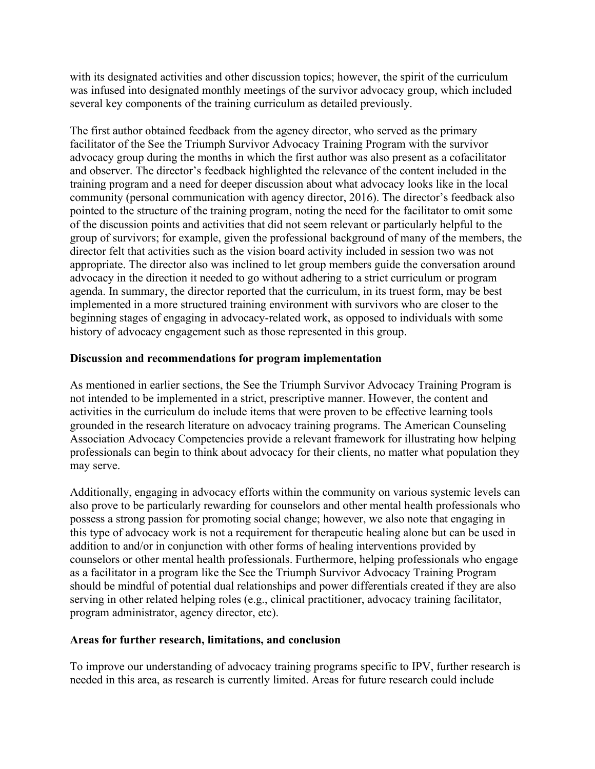with its designated activities and other discussion topics; however, the spirit of the curriculum was infused into designated monthly meetings of the survivor advocacy group, which included several key components of the training curriculum as detailed previously.

The first author obtained feedback from the agency director, who served as the primary facilitator of the See the Triumph Survivor Advocacy Training Program with the survivor advocacy group during the months in which the first author was also present as a cofacilitator and observer. The director's feedback highlighted the relevance of the content included in the training program and a need for deeper discussion about what advocacy looks like in the local community (personal communication with agency director, 2016). The director's feedback also pointed to the structure of the training program, noting the need for the facilitator to omit some of the discussion points and activities that did not seem relevant or particularly helpful to the group of survivors; for example, given the professional background of many of the members, the director felt that activities such as the vision board activity included in session two was not appropriate. The director also was inclined to let group members guide the conversation around advocacy in the direction it needed to go without adhering to a strict curriculum or program agenda. In summary, the director reported that the curriculum, in its truest form, may be best implemented in a more structured training environment with survivors who are closer to the beginning stages of engaging in advocacy-related work, as opposed to individuals with some history of advocacy engagement such as those represented in this group.

### **Discussion and recommendations for program implementation**

As mentioned in earlier sections, the See the Triumph Survivor Advocacy Training Program is not intended to be implemented in a strict, prescriptive manner. However, the content and activities in the curriculum do include items that were proven to be effective learning tools grounded in the research literature on advocacy training programs. The American Counseling Association Advocacy Competencies provide a relevant framework for illustrating how helping professionals can begin to think about advocacy for their clients, no matter what population they may serve.

Additionally, engaging in advocacy efforts within the community on various systemic levels can also prove to be particularly rewarding for counselors and other mental health professionals who possess a strong passion for promoting social change; however, we also note that engaging in this type of advocacy work is not a requirement for therapeutic healing alone but can be used in addition to and/or in conjunction with other forms of healing interventions provided by counselors or other mental health professionals. Furthermore, helping professionals who engage as a facilitator in a program like the See the Triumph Survivor Advocacy Training Program should be mindful of potential dual relationships and power differentials created if they are also serving in other related helping roles (e.g., clinical practitioner, advocacy training facilitator, program administrator, agency director, etc).

#### **Areas for further research, limitations, and conclusion**

To improve our understanding of advocacy training programs specific to IPV, further research is needed in this area, as research is currently limited. Areas for future research could include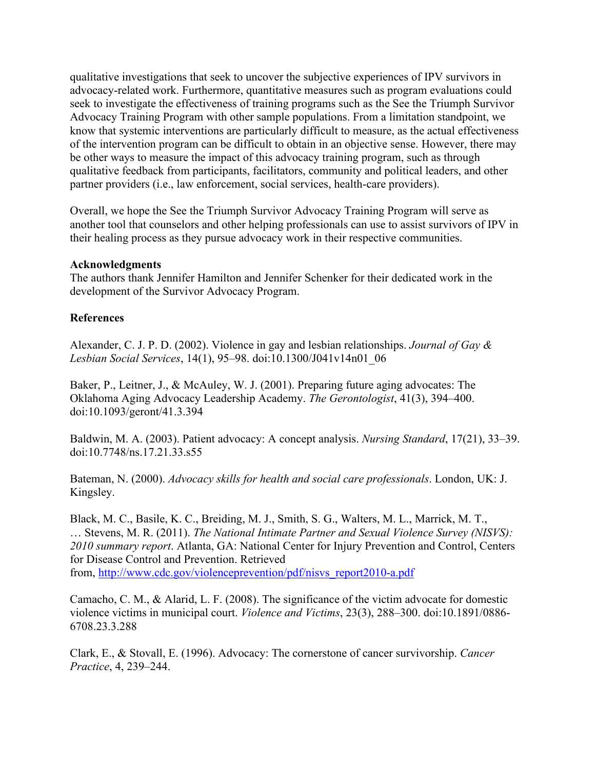qualitative investigations that seek to uncover the subjective experiences of IPV survivors in advocacy-related work. Furthermore, quantitative measures such as program evaluations could seek to investigate the effectiveness of training programs such as the See the Triumph Survivor Advocacy Training Program with other sample populations. From a limitation standpoint, we know that systemic interventions are particularly difficult to measure, as the actual effectiveness of the intervention program can be difficult to obtain in an objective sense. However, there may be other ways to measure the impact of this advocacy training program, such as through qualitative feedback from participants, facilitators, community and political leaders, and other partner providers (i.e., law enforcement, social services, health-care providers).

Overall, we hope the See the Triumph Survivor Advocacy Training Program will serve as another tool that counselors and other helping professionals can use to assist survivors of IPV in their healing process as they pursue advocacy work in their respective communities.

#### **Acknowledgments**

The authors thank Jennifer Hamilton and Jennifer Schenker for their dedicated work in the development of the Survivor Advocacy Program.

#### **References**

Alexander, C. J. P. D. (2002). Violence in gay and lesbian relationships. *Journal of Gay & Lesbian Social Services*, 14(1), 95–98. doi:10.1300/J041v14n01\_06

Baker, P., Leitner, J., & McAuley, W. J. (2001). Preparing future aging advocates: The Oklahoma Aging Advocacy Leadership Academy. *The Gerontologist*, 41(3), 394–400. doi:10.1093/geront/41.3.394

Baldwin, M. A. (2003). Patient advocacy: A concept analysis. *Nursing Standard*, 17(21), 33–39. doi:10.7748/ns.17.21.33.s55

Bateman, N. (2000). *Advocacy skills for health and social care professionals*. London, UK: J. Kingsley.

Black, M. C., Basile, K. C., Breiding, M. J., Smith, S. G., Walters, M. L., Marrick, M. T., … Stevens, M. R. (2011). *The National Intimate Partner and Sexual Violence Survey (NISVS): 2010 summary report*. Atlanta, GA: National Center for Injury Prevention and Control, Centers for Disease Control and Prevention. Retrieved from, [http://www.cdc.gov/violenceprevention/pdf/nisvs\\_report2010-a.pdf](http://www.cdc.gov/violenceprevention/pdf/nisvs_report2010-a.pdf)

Camacho, C. M., & Alarid, L. F. (2008). The significance of the victim advocate for domestic violence victims in municipal court. *Violence and Victims*, 23(3), 288–300. doi:10.1891/0886- 6708.23.3.288

Clark, E., & Stovall, E. (1996). Advocacy: The cornerstone of cancer survivorship. *Cancer Practice*, 4, 239–244.